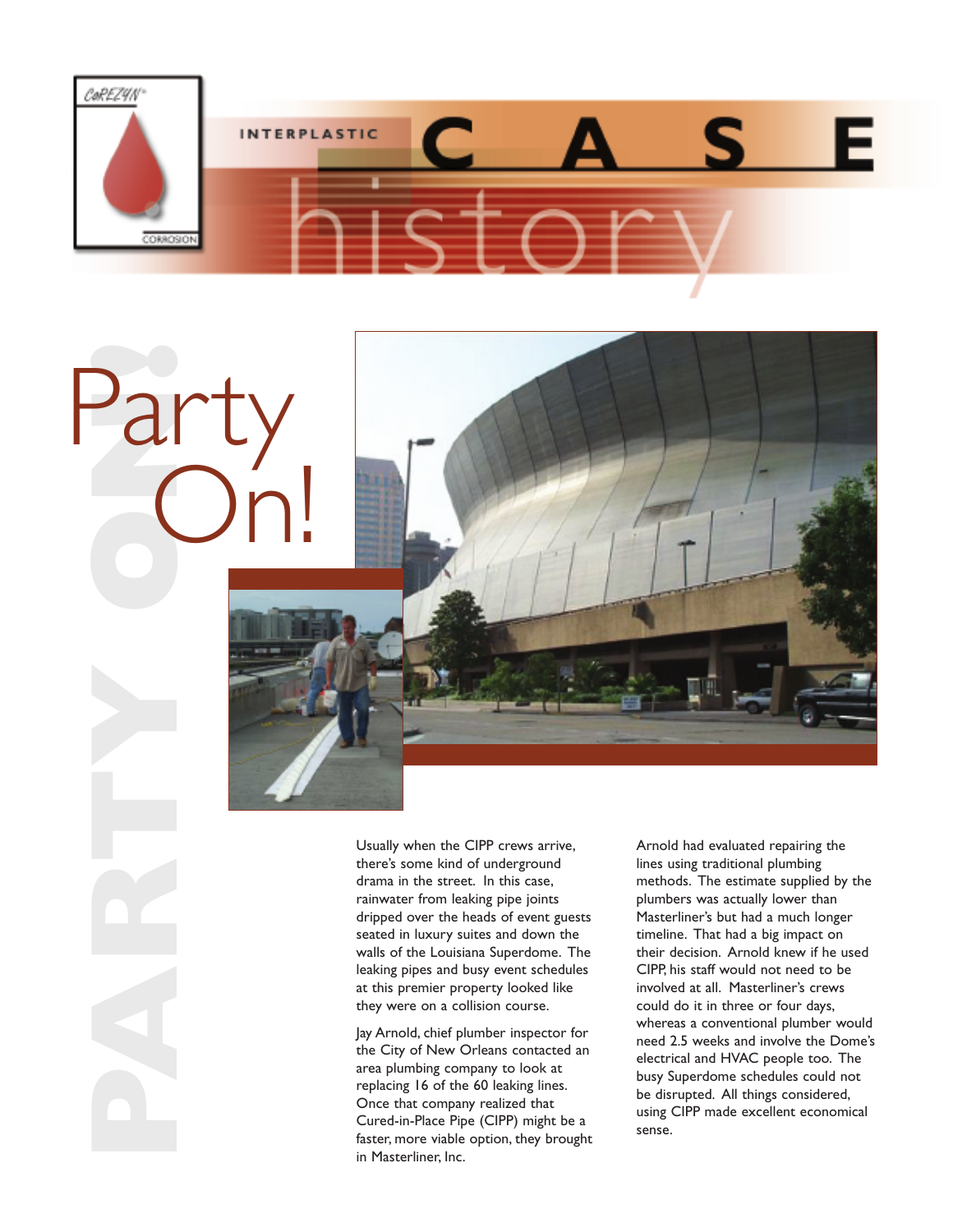



Party<br>On!<br>Party<br>Party

On!

Jay Arnold, chief plumber inspector for the City of New Orleans contacted an area plumbing company to look at replacing 16 of the 60 leaking lines. Once that company realized that Cured-in-Place Pipe (CIPP) might be a Faster, more viable option, they brought<br>faster, more viable option, they brought<br>faster, more viable option, they brought in Masterliner, Inc.

Arnold had evaluated repairing the lines using traditional plumbing methods. The estimate supplied by the plumbers was actually lower than Masterliner's but had a much longer timeline. That had a big impact on their decision. Arnold knew if he used CIPP, his staff would not need to be involved at all. Masterliner's crews could do it in three or four days, whereas a conventional plumber would need 2.5 weeks and involve the Dome's electrical and HVAC people too. The busy Superdome schedules could not be disrupted. All things considered, using CIPP made excellent economical sense.